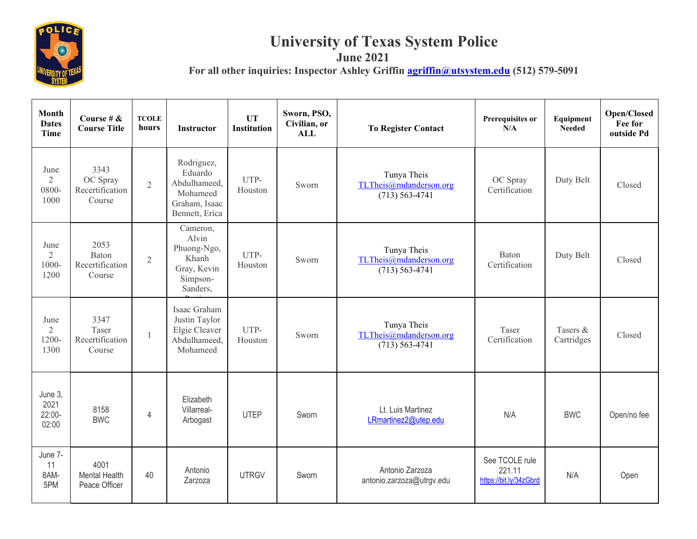

## **University of Texas System Police June 2021**

For all other inquiries: Inspector Ashley Griffin **agriffin** *aguitystem.edu* (512) 579-5091

| <b>Month</b><br><b>Dates</b><br><b>Time</b> | Course # $\&$<br><b>Course Title</b>          | <b>TCOLE</b><br>hours | Instructor                                                                           | <b>UT</b><br><b>Institution</b> | Sworn, PSO,<br>Civilian, or<br>ALL | <b>To Register Contact</b>                                  | Prerequisites or<br>N/A                            | Equipment<br><b>Needed</b> | <b>Open/Closed</b><br>Fee for<br>outside Pd |
|---------------------------------------------|-----------------------------------------------|-----------------------|--------------------------------------------------------------------------------------|---------------------------------|------------------------------------|-------------------------------------------------------------|----------------------------------------------------|----------------------------|---------------------------------------------|
| June<br>$\overline{2}$<br>0800-<br>1000     | 3343<br>OC Spray<br>Recertification<br>Course | $\overline{2}$        | Rodriguez,<br>Eduardo<br>Abdulhameed,<br>Mohameed<br>Graham, Isaac<br>Bennett, Erica | UTP-<br>Houston                 | Sworn                              | Tunya Theis<br>TLTheis@mdanderson.org<br>$(713) 563 - 4741$ | OC Spray<br>Certification                          | Duty Belt                  | Closed                                      |
| June<br>$\overline{2}$<br>1000-<br>1200     | 2053<br>Baton<br>Recertification<br>Course    | $\overline{2}$        | Cameron,<br>Alvin<br>Phuong-Ngo,<br>Khanh<br>Gray, Kevin<br>Simpson-<br>Sanders,     | UTP-<br>Houston                 | Sworn                              | Tunya Theis<br>TLTheis@mdanderson.org<br>$(713) 563 - 4741$ | <b>Baton</b><br>Certification                      | Duty Belt                  | Closed                                      |
| June<br>$\overline{2}$<br>1200-<br>1300     | 3347<br>Taser<br>Recertification<br>Course    | $\mathbf{1}$          | Isaac Graham<br>Justin Taylor<br>Elgie Cleaver<br>Abdulhameed.<br>Mohameed           | UTP-<br>Houston                 | Sworn                              | Tunya Theis<br>TLTheis@mdanderson.org<br>$(713) 563 - 4741$ | Taser<br>Certification                             | Tasers &<br>Cartridges     | Closed                                      |
| June 3,<br>2021<br>$22:00-$<br>02:00        | 8158<br><b>BWC</b>                            | $\overline{4}$        | Elizabeth<br>Villarreal-<br>Arbogast                                                 | <b>UTEP</b>                     | Sworn                              | Lt. Luis Martinez<br>LRmartinez2@utep.edu                   | N/A                                                | <b>BWC</b>                 | Open/no fee                                 |
| June 7-<br>11<br>8AM-<br>5PM                | 4001<br><b>Mental Health</b><br>Peace Officer | 40                    | Antonio<br>Zarzoza                                                                   | <b>UTRGV</b>                    | Sworn                              | Antonio Zarzoza<br>antonio.zarzoza@utrgv.edu                | See TCOLE rule<br>221.11<br>https://bit.ly/34zGbrd | N/A                        | Open                                        |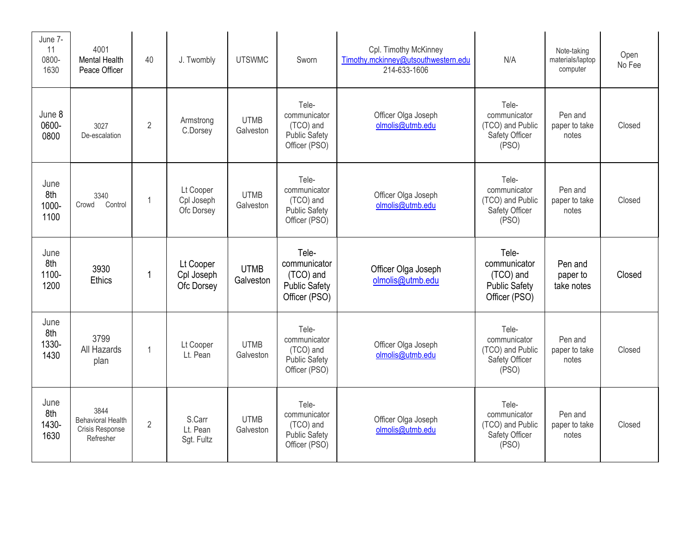| June 7-<br>11<br>0800-<br>1630 | 4001<br><b>Mental Health</b><br>Peace Officer                    | 40             | J. Twombly                            | <b>UTSWMC</b>            | Sworn                                                                       | Cpl. Timothy McKinney<br>Timothy.mckinney@utsouthwestern.edu<br>214-633-1606 | N/A                                                                         | Note-taking<br>materials/laptop<br>computer | Open<br>No Fee |
|--------------------------------|------------------------------------------------------------------|----------------|---------------------------------------|--------------------------|-----------------------------------------------------------------------------|------------------------------------------------------------------------------|-----------------------------------------------------------------------------|---------------------------------------------|----------------|
| June 8<br>0600-<br>0800        | 3027<br>De-escalation                                            | $\overline{2}$ | Armstrong<br>C.Dorsey                 | <b>UTMB</b><br>Galveston | Tele-<br>communicator<br>(TCO) and<br><b>Public Safety</b><br>Officer (PSO) | Officer Olga Joseph<br>olmolis@utmb.edu                                      | Tele-<br>communicator<br>(TCO) and Public<br>Safety Officer<br>(PSO)        | Pen and<br>paper to take<br>notes           | Closed         |
| June<br>8th<br>1000-<br>1100   | 3340<br>Crowd<br>Control                                         | $\overline{1}$ | Lt Cooper<br>Cpl Joseph<br>Ofc Dorsey | <b>UTMB</b><br>Galveston | Tele-<br>communicator<br>(TCO) and<br><b>Public Safety</b><br>Officer (PSO) | Officer Olga Joseph<br>olmolis@utmb.edu                                      | Tele-<br>communicator<br>(TCO) and Public<br>Safety Officer<br>(PSO)        | Pen and<br>paper to take<br>notes           | Closed         |
| June<br>8th<br>1100-<br>1200   | 3930<br><b>Ethics</b>                                            | $\mathbf 1$    | Lt Cooper<br>Cpl Joseph<br>Ofc Dorsey | <b>UTMB</b><br>Galveston | Tele-<br>communicator<br>(TCO) and<br><b>Public Safety</b><br>Officer (PSO) | Officer Olga Joseph<br>olmolis@utmb.edu                                      | Tele-<br>communicator<br>(TCO) and<br><b>Public Safety</b><br>Officer (PSO) | Pen and<br>paper to<br>take notes           | Closed         |
| June<br>8th<br>1330-<br>1430   | 3799<br>All Hazards<br>plan                                      | $\overline{1}$ | Lt Cooper<br>Lt. Pean                 | <b>UTMB</b><br>Galveston | Tele-<br>communicator<br>(TCO) and<br><b>Public Safety</b><br>Officer (PSO) | Officer Olga Joseph<br>olmolis@utmb.edu                                      | Tele-<br>communicator<br>(TCO) and Public<br>Safety Officer<br>(PSO)        | Pen and<br>paper to take<br>notes           | Closed         |
| June<br>8th<br>1430-<br>1630   | 3844<br><b>Behavioral Health</b><br>Crisis Response<br>Refresher | $\overline{2}$ | S.Carr<br>Lt. Pean<br>Sgt. Fultz      | <b>UTMB</b><br>Galveston | Tele-<br>communicator<br>(TCO) and<br><b>Public Safety</b><br>Officer (PSO) | Officer Olga Joseph<br>olmolis@utmb.edu                                      | Tele-<br>communicator<br>(TCO) and Public<br>Safety Officer<br>(PSO)        | Pen and<br>paper to take<br>notes           | Closed         |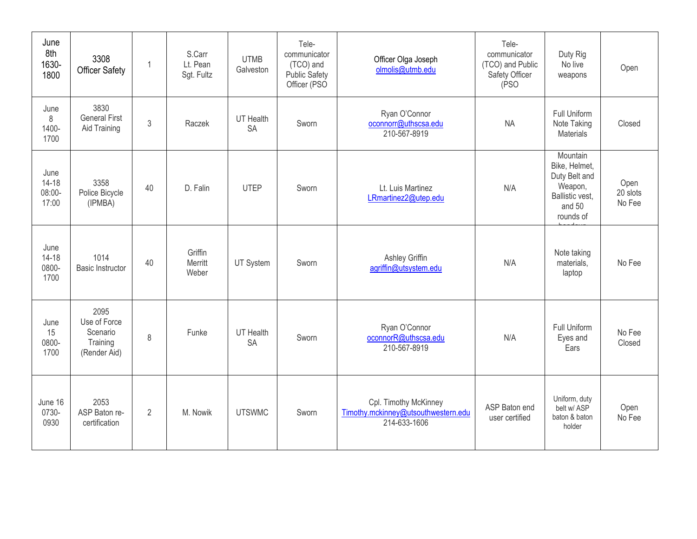| June<br>8th<br>1630-<br>1800         | 3308<br><b>Officer Safety</b>                                | 1  | S.Carr<br>Lt. Pean<br>Sgt. Fultz | <b>UTMB</b><br>Galveston      | Tele-<br>communicator<br>(TCO) and<br><b>Public Safety</b><br>Officer (PSO | Officer Olga Joseph<br>olmolis@utmb.edu                                      | Tele-<br>communicator<br>(TCO) and Public<br>Safety Officer<br>(PSO | Duty Rig<br>No live<br>weapons                                                                  | Open                       |
|--------------------------------------|--------------------------------------------------------------|----|----------------------------------|-------------------------------|----------------------------------------------------------------------------|------------------------------------------------------------------------------|---------------------------------------------------------------------|-------------------------------------------------------------------------------------------------|----------------------------|
| June<br>8<br>1400-<br>1700           | 3830<br><b>General First</b><br>Aid Training                 | 3  | Raczek                           | <b>UT Health</b><br><b>SA</b> | Sworn                                                                      | Ryan O'Connor<br>oconnorr@uthscsa.edu<br>210-567-8919                        | <b>NA</b>                                                           | Full Uniform<br>Note Taking<br>Materials                                                        | Closed                     |
| June<br>$14 - 18$<br>08:00-<br>17:00 | 3358<br>Police Bicycle<br>(IPMBA)                            | 40 | D. Falin                         | <b>UTEP</b>                   | Sworn                                                                      | Lt. Luis Martinez<br>LRmartinez2@utep.edu                                    | N/A                                                                 | Mountain<br>Bike, Helmet,<br>Duty Belt and<br>Weapon,<br>Ballistic vest.<br>and 50<br>rounds of | Open<br>20 slots<br>No Fee |
| June<br>$14 - 18$<br>0800-<br>1700   | 1014<br><b>Basic Instructor</b>                              | 40 | Griffin<br>Merritt<br>Weber      | UT System                     | Sworn                                                                      | Ashley Griffin<br>agriffin@utsystem.edu                                      | N/A                                                                 | Note taking<br>materials,<br>laptop                                                             | No Fee                     |
| June<br>15<br>0800-<br>1700          | 2095<br>Use of Force<br>Scenario<br>Training<br>(Render Aid) | 8  | Funke                            | <b>UT Health</b><br><b>SA</b> | Sworn                                                                      | Ryan O'Connor<br>oconnorR@uthscsa.edu<br>210-567-8919                        | N/A                                                                 | Full Uniform<br>Eyes and<br>Ears                                                                | No Fee<br>Closed           |
| June 16<br>0730-<br>0930             | 2053<br>ASP Baton re-<br>certification                       | 2  | M. Nowik                         | <b>UTSWMC</b>                 | Sworn                                                                      | Cpl. Timothy McKinney<br>Timothy.mckinney@utsouthwestern.edu<br>214-633-1606 | ASP Baton end<br>user certified                                     | Uniform, duty<br>belt w/ ASP<br>baton & baton<br>holder                                         | Open<br>No Fee             |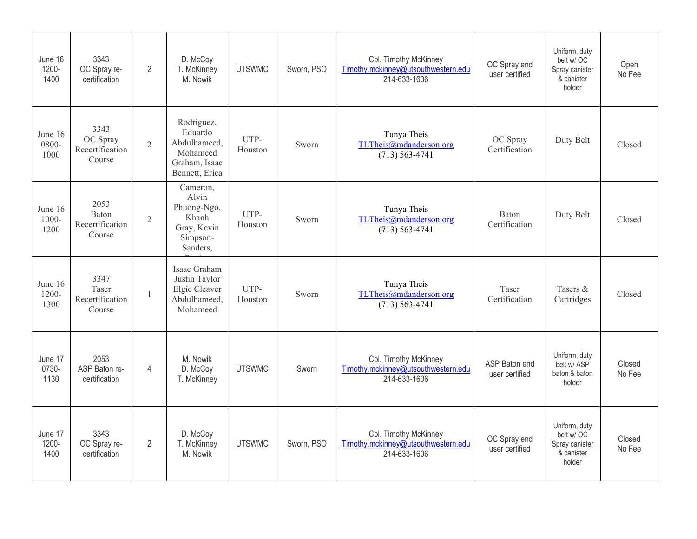| June 16<br>1200-<br>1400    | 3343<br>OC Spray re-<br>certification         | $\overline{2}$ | D. McCoy<br>T. McKinney<br>M. Nowik                                                  | <b>UTSWMC</b>   | Sworn, PSO | Cpl. Timothy McKinney<br>Timothy.mckinney@utsouthwestern.edu<br>214-633-1606 | OC Spray end<br>user certified  | Uniform, duty<br>belt w/OC<br>Spray canister<br>& canister<br>holder  | Open<br>No Fee   |
|-----------------------------|-----------------------------------------------|----------------|--------------------------------------------------------------------------------------|-----------------|------------|------------------------------------------------------------------------------|---------------------------------|-----------------------------------------------------------------------|------------------|
| June 16<br>0800-<br>1000    | 3343<br>OC Spray<br>Recertification<br>Course | $\overline{2}$ | Rodriguez,<br>Eduardo<br>Abdulhameed,<br>Mohameed<br>Graham, Isaac<br>Bennett, Erica | UTP-<br>Houston | Sworn      | Tunya Theis<br>TLTheis@mdanderson.org<br>$(713) 563 - 4741$                  | OC Spray<br>Certification       | Duty Belt                                                             | Closed           |
| June 16<br>$1000 -$<br>1200 | 2053<br>Baton<br>Recertification<br>Course    | $\overline{2}$ | Cameron,<br>Alvin<br>Phuong-Ngo,<br>Khanh<br>Gray, Kevin<br>Simpson-<br>Sanders,     | UTP-<br>Houston | Sworn      | Tunya Theis<br>TLTheis@mdanderson.org<br>$(713) 563 - 4741$                  | Baton<br>Certification          | Duty Belt                                                             | Closed           |
| June 16<br>$1200 -$<br>1300 | 3347<br>Taser<br>Recertification<br>Course    | 1              | Isaac Graham<br>Justin Taylor<br>Elgie Cleaver<br>Abdulhameed.<br>Mohameed           | UTP-<br>Houston | Sworn      | Tunya Theis<br>TLTheis@mdanderson.org<br>$(713) 563 - 4741$                  | Taser<br>Certification          | Tasers &<br>Cartridges                                                | Closed           |
| June 17<br>0730-<br>1130    | 2053<br>ASP Baton re-<br>certification        | $\overline{4}$ | M. Nowik<br>D. McCoy<br>T. McKinney                                                  | <b>UTSWMC</b>   | Sworn      | Cpl. Timothy McKinney<br>Timothy.mckinney@utsouthwestern.edu<br>214-633-1606 | ASP Baton end<br>user certified | Uniform, duty<br>belt w/ ASP<br>baton & baton<br>holder               | Closed<br>No Fee |
| June 17<br>1200-<br>1400    | 3343<br>OC Spray re-<br>certification         | $\overline{2}$ | D. McCoy<br>T. McKinney<br>M. Nowik                                                  | <b>UTSWMC</b>   | Sworn, PSO | Cpl. Timothy McKinney<br>Timothy.mckinney@utsouthwestern.edu<br>214-633-1606 | OC Spray end<br>user certified  | Uniform, duty<br>belt w/ OC<br>Spray canister<br>& canister<br>holder | Closed<br>No Fee |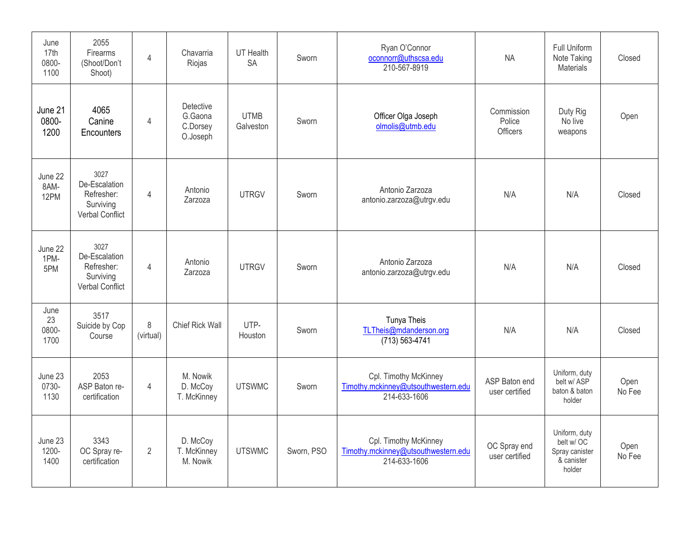| June<br>17th<br>0800-<br>1100 | 2055<br>Firearms<br>(Shoot/Don't<br>Shoot)                                 | $\overline{4}$ | Chavarria<br>Riojas                          | UT Health<br><b>SA</b>   | Sworn      | Ryan O'Connor<br>oconnorr@uthscsa.edu<br>210-567-8919                        | <b>NA</b>                               | Full Uniform<br>Note Taking<br>Materials                              | Closed         |
|-------------------------------|----------------------------------------------------------------------------|----------------|----------------------------------------------|--------------------------|------------|------------------------------------------------------------------------------|-----------------------------------------|-----------------------------------------------------------------------|----------------|
| June 21<br>0800-<br>1200      | 4065<br>Canine<br>Encounters                                               | 4              | Detective<br>G.Gaona<br>C.Dorsey<br>O.Joseph | <b>UTMB</b><br>Galveston | Sworn      | Officer Olga Joseph<br>olmolis@utmb.edu                                      | Commission<br>Police<br><b>Officers</b> | Duty Rig<br>No live<br>weapons                                        | Open           |
| June 22<br>8AM-<br>12PM       | 3027<br>De-Escalation<br>Refresher:<br>Surviving<br><b>Verbal Conflict</b> | $\overline{4}$ | Antonio<br>Zarzoza                           | <b>UTRGV</b>             | Sworn      | Antonio Zarzoza<br>antonio.zarzoza@utrgv.edu                                 | N/A                                     | N/A                                                                   | Closed         |
| June 22<br>1PM-<br>5PM        | 3027<br>De-Escalation<br>Refresher:<br>Surviving<br><b>Verbal Conflict</b> | $\overline{4}$ | Antonio<br>Zarzoza                           | <b>UTRGV</b>             | Sworn      | Antonio Zarzoza<br>antonio.zarzoza@utrgv.edu                                 | N/A                                     | N/A                                                                   | Closed         |
| June<br>23<br>0800-<br>1700   | 3517<br>Suicide by Cop<br>Course                                           | 8<br>(virtual) | Chief Rick Wall                              | UTP-<br>Houston          | Sworn      | Tunya Theis<br>TLTheis@mdanderson.org<br>$(713) 563 - 4741$                  | N/A                                     | N/A                                                                   | Closed         |
| June 23<br>0730-<br>1130      | 2053<br>ASP Baton re-<br>certification                                     | $\overline{4}$ | M. Nowik<br>D. McCoy<br>T. McKinney          | <b>UTSWMC</b>            | Sworn      | Cpl. Timothy McKinney<br>Timothy.mckinney@utsouthwestern.edu<br>214-633-1606 | ASP Baton end<br>user certified         | Uniform, duty<br>belt w/ ASP<br>baton & baton<br>holder               | Open<br>No Fee |
| June 23<br>1200-<br>1400      | 3343<br>OC Spray re-<br>certification                                      | $\overline{2}$ | D. McCoy<br>T. McKinney<br>M. Nowik          | <b>UTSWMC</b>            | Sworn, PSO | Cpl. Timothy McKinney<br>Timothy.mckinney@utsouthwestern.edu<br>214-633-1606 | OC Spray end<br>user certified          | Uniform, duty<br>belt w/ OC<br>Spray canister<br>& canister<br>holder | Open<br>No Fee |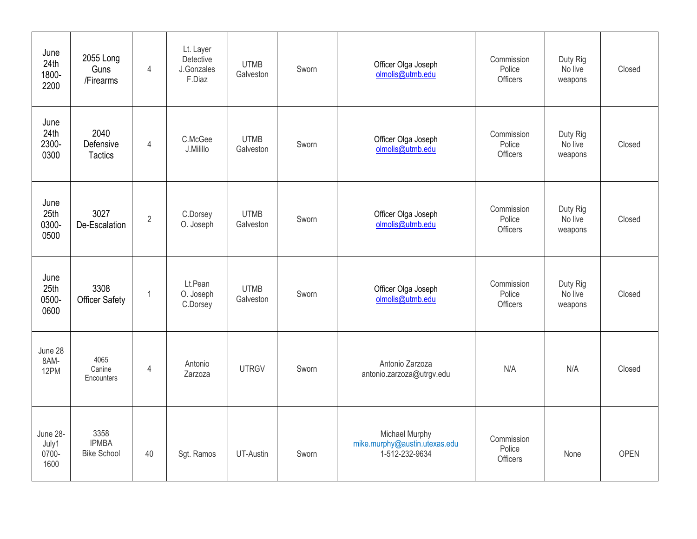| June<br>24th<br>1800-<br>2200      | 2055 Long<br>Guns<br>/Firearms             | $\overline{4}$ | Lt. Layer<br>Detective<br>J.Gonzales<br>F.Diaz | <b>UTMB</b><br>Galveston | Sworn | Officer Olga Joseph<br>olmolis@utmb.edu                           | Commission<br>Police<br>Officers | Duty Rig<br>No live<br>weapons | Closed      |
|------------------------------------|--------------------------------------------|----------------|------------------------------------------------|--------------------------|-------|-------------------------------------------------------------------|----------------------------------|--------------------------------|-------------|
| June<br>24th<br>2300-<br>0300      | 2040<br>Defensive<br><b>Tactics</b>        | $\overline{4}$ | C.McGee<br>J.Milillo                           | <b>UTMB</b><br>Galveston | Sworn | Officer Olga Joseph<br>olmolis@utmb.edu                           | Commission<br>Police<br>Officers | Duty Rig<br>No live<br>weapons | Closed      |
| June<br>25th<br>0300-<br>0500      | 3027<br>De-Escalation                      | $\overline{2}$ | C.Dorsey<br>O. Joseph                          | <b>UTMB</b><br>Galveston | Sworn | Officer Olga Joseph<br>olmolis@utmb.edu                           | Commission<br>Police<br>Officers | Duty Rig<br>No live<br>weapons | Closed      |
| June<br>25th<br>0500-<br>0600      | 3308<br><b>Officer Safety</b>              | $\mathbf{1}$   | Lt.Pean<br>O. Joseph<br>C.Dorsey               | <b>UTMB</b><br>Galveston | Sworn | Officer Olga Joseph<br>olmolis@utmb.edu                           | Commission<br>Police<br>Officers | Duty Rig<br>No live<br>weapons | Closed      |
| June 28<br>8AM-<br>12PM            | 4065<br>Canine<br>Encounters               | $\overline{4}$ | Antonio<br>Zarzoza                             | <b>UTRGV</b>             | Sworn | Antonio Zarzoza<br>antonio.zarzoza@utrgv.edu                      | N/A                              | N/A                            | Closed      |
| June 28-<br>July1<br>0700-<br>1600 | 3358<br><b>IPMBA</b><br><b>Bike School</b> | 40             | Sgt. Ramos                                     | UT-Austin                | Sworn | Michael Murphy<br>mike.murphy@austin.utexas.edu<br>1-512-232-9634 | Commission<br>Police<br>Officers | None                           | <b>OPEN</b> |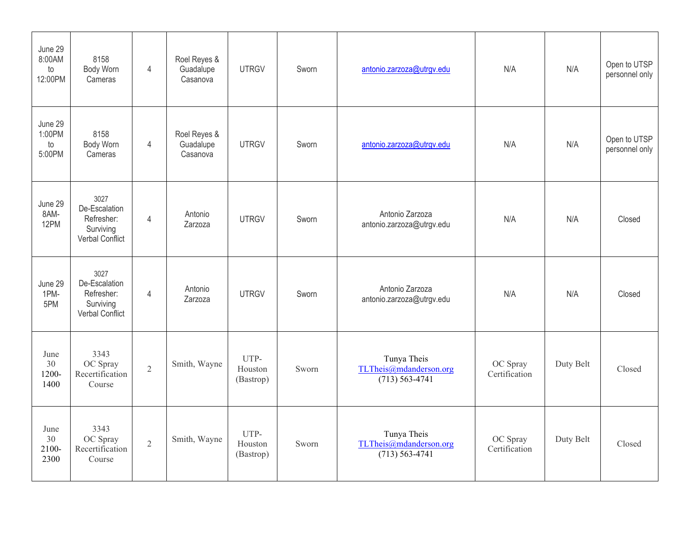| June 29<br>8:00AM<br>to<br>12:00PM | 8158<br>Body Worn<br>Cameras                                        | $\overline{4}$ | Roel Reyes &<br>Guadalupe<br>Casanova | <b>UTRGV</b>                 | Sworn | antonio.zarzoza@utrgv.edu                                   | N/A                       | N/A       | Open to UTSP<br>personnel only |
|------------------------------------|---------------------------------------------------------------------|----------------|---------------------------------------|------------------------------|-------|-------------------------------------------------------------|---------------------------|-----------|--------------------------------|
| June 29<br>1:00PM<br>to<br>5:00PM  | 8158<br>Body Worn<br>Cameras                                        | $\overline{4}$ | Roel Reyes &<br>Guadalupe<br>Casanova | <b>UTRGV</b>                 | Sworn | antonio.zarzoza@utrgv.edu                                   | N/A                       | N/A       | Open to UTSP<br>personnel only |
| June 29<br>8AM-<br>12PM            | 3027<br>De-Escalation<br>Refresher:<br>Surviving<br>Verbal Conflict | $\overline{4}$ | Antonio<br>Zarzoza                    | <b>UTRGV</b>                 | Sworn | Antonio Zarzoza<br>antonio.zarzoza@utrgv.edu                | N/A                       | N/A       | Closed                         |
| June 29<br>1PM-<br>5PM             | 3027<br>De-Escalation<br>Refresher:<br>Surviving<br>Verbal Conflict | $\overline{4}$ | Antonio<br>Zarzoza                    | <b>UTRGV</b>                 | Sworn | Antonio Zarzoza<br>antonio.zarzoza@utrgv.edu                | N/A                       | N/A       | Closed                         |
| June<br>30<br>1200-<br>1400        | 3343<br>OC Spray<br>Recertification<br>Course                       | $\overline{2}$ | Smith, Wayne                          | UTP-<br>Houston<br>(Bastrop) | Sworn | Tunya Theis<br>TLTheis@mdanderson.org<br>$(713) 563 - 4741$ | OC Spray<br>Certification | Duty Belt | Closed                         |
| June<br>30<br>2100-<br>2300        | 3343<br>OC Spray<br>Recertification<br>Course                       | $\overline{2}$ | Smith, Wayne                          | UTP-<br>Houston<br>(Bastrop) | Sworn | Tunya Theis<br>TLTheis@mdanderson.org<br>$(713) 563 - 4741$ | OC Spray<br>Certification | Duty Belt | Closed                         |